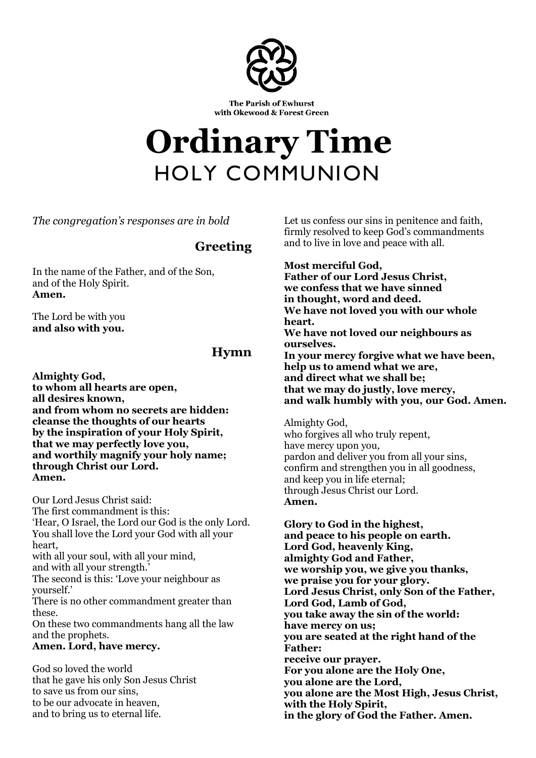

# **Ordinary Time** HOLY COMMUNION

*The congregation's responses are in bold*

# **Greeting**

In the name of the Father, and of the Son, and of the Holy Spirit. **Amen.**

The Lord be with you **and also with you.**

## **Hymn**

**Almighty God, to whom all hearts are open, all desires known, and from whom no secrets are hidden: cleanse the thoughts of our hearts by the inspiration of your Holy Spirit, that we may perfectly love you, and worthily magnify your holy name; through Christ our Lord. Amen.**

Our Lord Jesus Christ said: The first commandment is this: 'Hear, O Israel, the Lord our God is the only Lord. You shall love the Lord your God with all your heart, with all your soul, with all your mind, and with all your strength.' The second is this: 'Love your neighbour as yourself.' There is no other commandment greater than these. On these two commandments hang all the law and the prophets. **Amen. Lord, have mercy.** God so loved the world

that he gave his only Son Jesus Christ to save us from our sins, to be our advocate in heaven, and to bring us to eternal life.

Let us confess our sins in penitence and faith, firmly resolved to keep God's commandments and to live in love and peace with all.

**Most merciful God,**

**Father of our Lord Jesus Christ, we confess that we have sinned in thought, word and deed. We have not loved you with our whole heart. We have not loved our neighbours as ourselves. In your mercy forgive what we have been, help us to amend what we are, and direct what we shall be; that we may do justly, love mercy, and walk humbly with you, our God. Amen.**

Almighty God, who forgives all who truly repent, have mercy upon you, pardon and deliver you from all your sins, confirm and strengthen you in all goodness, and keep you in life eternal; through Jesus Christ our Lord. **Amen.**

**Glory to God in the highest, and peace to his people on earth. Lord God, heavenly King, almighty God and Father, we worship you, we give you thanks, we praise you for your glory. Lord Jesus Christ, only Son of the Father, Lord God, Lamb of God, you take away the sin of the world: have mercy on us; you are seated at the right hand of the Father: receive our prayer. For you alone are the Holy One, you alone are the Lord, you alone are the Most High, Jesus Christ, with the Holy Spirit, in the glory of God the Father. Amen.**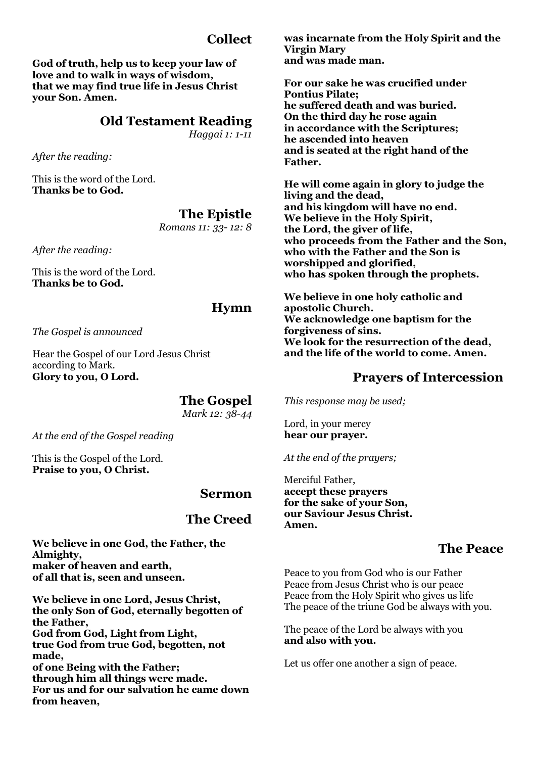#### **Collect**

**God of truth, help us to keep your law of love and to walk in ways of wisdom, that we may find true life in Jesus Christ your Son. Amen.**

#### **Old Testament Reading**

*Haggai 1: 1-11*

*After the reading:*

This is the word of the Lord. **Thanks be to God.**

#### **The Epistle**

*Romans 11: 33- 12: 8*

*After the reading:*

This is the word of the Lord. **Thanks be to God.**

#### **Hymn**

*The Gospel is announced*

Hear the Gospel of our Lord Jesus Christ according to Mark. **Glory to you, O Lord.**

> **The Gospel** *Mark 12: 38-44*

*At the end of the Gospel reading*

This is the Gospel of the Lord. **Praise to you, O Christ.**

#### **Sermon**

#### **The Creed**

**We believe in one God, the Father, the Almighty, maker of heaven and earth, of all that is, seen and unseen.**

**We believe in one Lord, Jesus Christ, the only Son of God, eternally begotten of the Father, God from God, Light from Light, true God from true God, begotten, not made, of one Being with the Father; through him all things were made. For us and for our salvation he came down from heaven,**

**was incarnate from the Holy Spirit and the Virgin Mary and was made man.**

**For our sake he was crucified under Pontius Pilate; he suffered death and was buried. On the third day he rose again in accordance with the Scriptures; he ascended into heaven and is seated at the right hand of the Father.**

**He will come again in glory to judge the living and the dead, and his kingdom will have no end. We believe in the Holy Spirit, the Lord, the giver of life, who proceeds from the Father and the Son, who with the Father and the Son is worshipped and glorified, who has spoken through the prophets.**

**We believe in one holy catholic and apostolic Church. We acknowledge one baptism for the forgiveness of sins. We look for the resurrection of the dead, and the life of the world to come. Amen.**

#### **Prayers of Intercession**

*This response may be used;*

Lord, in your mercy **hear our prayer.**

*At the end of the prayers;*

Merciful Father, **accept these prayers for the sake of your Son, our Saviour Jesus Christ. Amen.**

#### **The Peace**

Peace to you from God who is our Father Peace from Jesus Christ who is our peace Peace from the Holy Spirit who gives us life The peace of the triune God be always with you.

The peace of the Lord be always with you **and also with you.**

Let us offer one another a sign of peace.